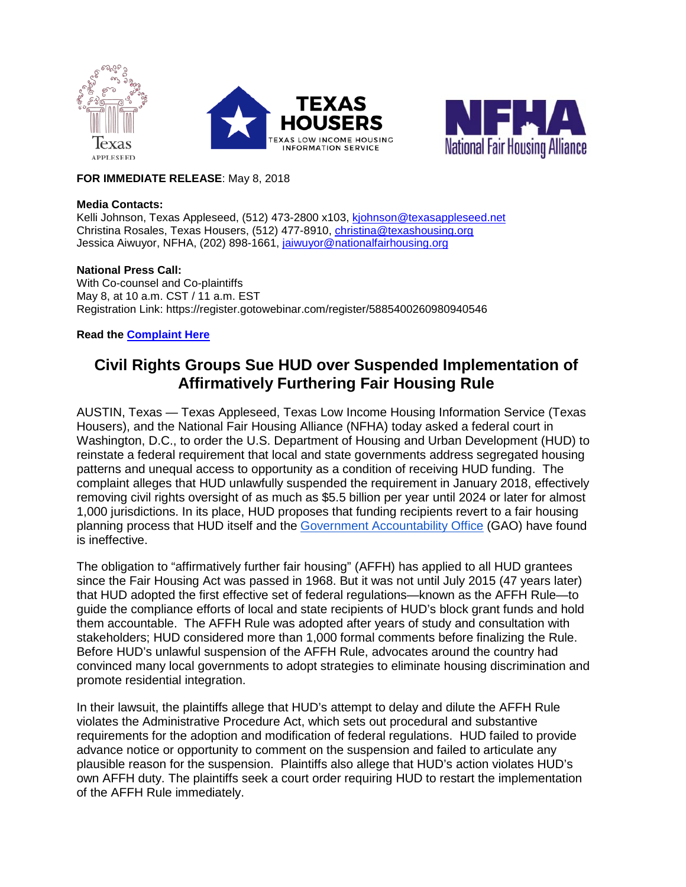



## **FOR IMMEDIATE RELEASE**: May 8, 2018

### **Media Contacts:**

Kelli Johnson, Texas Appleseed, (512) 473-2800 x103, [kjohnson@texasappleseed.net](mailto:kjohnson@texasappleseed.net) Christina Rosales, Texas Housers, (512) 477-8910, [christina@texashousing.org](mailto:christina@texashousing.org) Jessica Aiwuyor, NFHA, (202) 898-1661, [jaiwuyor@nationalfairhousing.org](mailto:jaiwuyor@nationalfairhousing.org)

## **National Press Call:**

With Co-counsel and Co-plaintiffs May 8, at 10 a.m. CST / 11 a.m. EST Registration Link: https://register.gotowebinar.com/register/5885400260980940546

## **Read the [Complaint Here](http://www.texasappleseed.org/sites/default/files/Filed-complaint-1.pdf)**

# **Civil Rights Groups Sue HUD over Suspended Implementation of Affirmatively Furthering Fair Housing Rule**

AUSTIN, Texas — Texas Appleseed, Texas Low Income Housing Information Service (Texas Housers), and the National Fair Housing Alliance (NFHA) today asked a federal court in Washington, D.C., to order the U.S. Department of Housing and Urban Development (HUD) to reinstate a federal requirement that local and state governments address segregated housing patterns and unequal access to opportunity as a condition of receiving HUD funding. The complaint alleges that HUD unlawfully suspended the requirement in January 2018, effectively removing civil rights oversight of as much as \$5.5 billion per year until 2024 or later for almost 1,000 jurisdictions. In its place, HUD proposes that funding recipients revert to a fair housing planning process that HUD itself and the [Government Accountability Office](https://www.gao.gov/products/GAO-10-905) (GAO) have found is ineffective.

The obligation to "affirmatively further fair housing" (AFFH) has applied to all HUD grantees since the Fair Housing Act was passed in 1968. But it was not until July 2015 (47 years later) that HUD adopted the first effective set of federal regulations—known as the AFFH Rule—to guide the compliance efforts of local and state recipients of HUD's block grant funds and hold them accountable. The AFFH Rule was adopted after years of study and consultation with stakeholders; HUD considered more than 1,000 formal comments before finalizing the Rule. Before HUD's unlawful suspension of the AFFH Rule, advocates around the country had convinced many local governments to adopt strategies to eliminate housing discrimination and promote residential integration.

In their lawsuit, the plaintiffs allege that HUD's attempt to delay and dilute the AFFH Rule violates the Administrative Procedure Act, which sets out procedural and substantive requirements for the adoption and modification of federal regulations. HUD failed to provide advance notice or opportunity to comment on the suspension and failed to articulate any plausible reason for the suspension. Plaintiffs also allege that HUD's action violates HUD's own AFFH duty. The plaintiffs seek a court order requiring HUD to restart the implementation of the AFFH Rule immediately.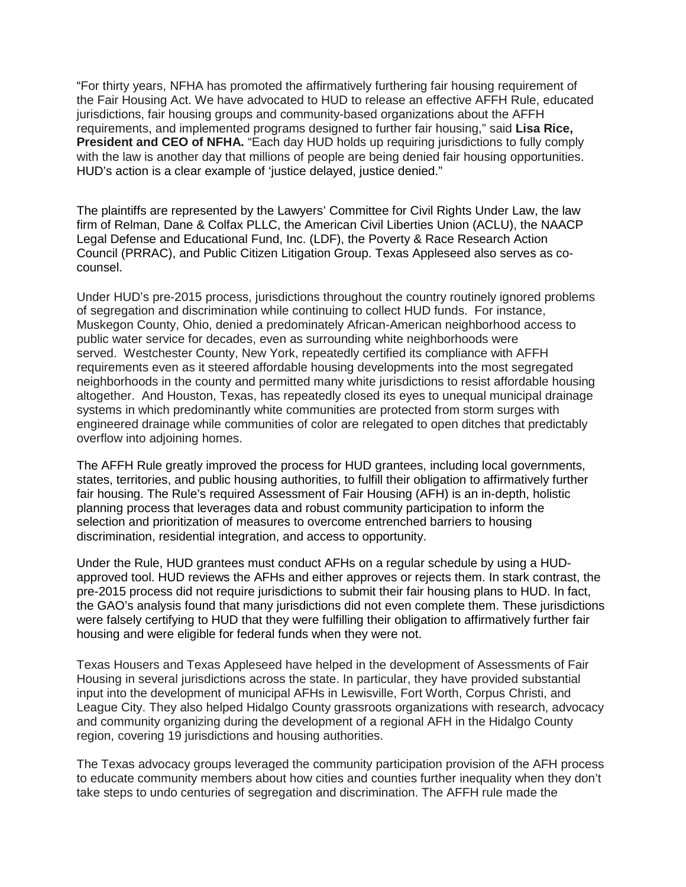"For thirty years, NFHA has promoted the affirmatively furthering fair housing requirement of the Fair Housing Act. We have advocated to HUD to release an effective AFFH Rule, educated jurisdictions, fair housing groups and community-based organizations about the AFFH requirements, and implemented programs designed to further fair housing," said **Lisa Rice, President and CEO of NFHA.** "Each day HUD holds up requiring jurisdictions to fully comply with the law is another day that millions of people are being denied fair housing opportunities. HUD's action is a clear example of 'justice delayed, justice denied."

The plaintiffs are represented by the Lawyers' Committee for Civil Rights Under Law, the law firm of Relman, Dane & Colfax PLLC, the American Civil Liberties Union (ACLU), the NAACP Legal Defense and Educational Fund, Inc. (LDF), the Poverty & Race Research Action Council (PRRAC), and Public Citizen Litigation Group. Texas Appleseed also serves as cocounsel.

Under HUD's pre-2015 process, jurisdictions throughout the country routinely ignored problems of segregation and discrimination while continuing to collect HUD funds. For instance, Muskegon County, Ohio, denied a predominately African-American neighborhood access to public water service for decades, even as surrounding white neighborhoods were served. Westchester County, New York, repeatedly certified its compliance with AFFH requirements even as it steered affordable housing developments into the most segregated neighborhoods in the county and permitted many white jurisdictions to resist affordable housing altogether. And Houston, Texas, has repeatedly closed its eyes to unequal municipal drainage systems in which predominantly white communities are protected from storm surges with engineered drainage while communities of color are relegated to open ditches that predictably overflow into adjoining homes.

The AFFH Rule greatly improved the process for HUD grantees, including local governments, states, territories, and public housing authorities, to fulfill their obligation to affirmatively further fair housing. The Rule's required Assessment of Fair Housing (AFH) is an in-depth, holistic planning process that leverages data and robust community participation to inform the selection and prioritization of measures to overcome entrenched barriers to housing discrimination, residential integration, and access to opportunity.

Under the Rule, HUD grantees must conduct AFHs on a regular schedule by using a HUDapproved tool. HUD reviews the AFHs and either approves or rejects them. In stark contrast, the pre-2015 process did not require jurisdictions to submit their fair housing plans to HUD. In fact, the GAO's analysis found that many jurisdictions did not even complete them. These jurisdictions were falsely certifying to HUD that they were fulfilling their obligation to affirmatively further fair housing and were eligible for federal funds when they were not.

Texas Housers and Texas Appleseed have helped in the development of Assessments of Fair Housing in several jurisdictions across the state. In particular, they have provided substantial input into the development of municipal AFHs in Lewisville, Fort Worth, Corpus Christi, and League City. They also helped Hidalgo County grassroots organizations with research, advocacy and community organizing during the development of a regional AFH in the Hidalgo County region, covering 19 jurisdictions and housing authorities.

The Texas advocacy groups leveraged the community participation provision of the AFH process to educate community members about how cities and counties further inequality when they don't take steps to undo centuries of segregation and discrimination. The AFFH rule made the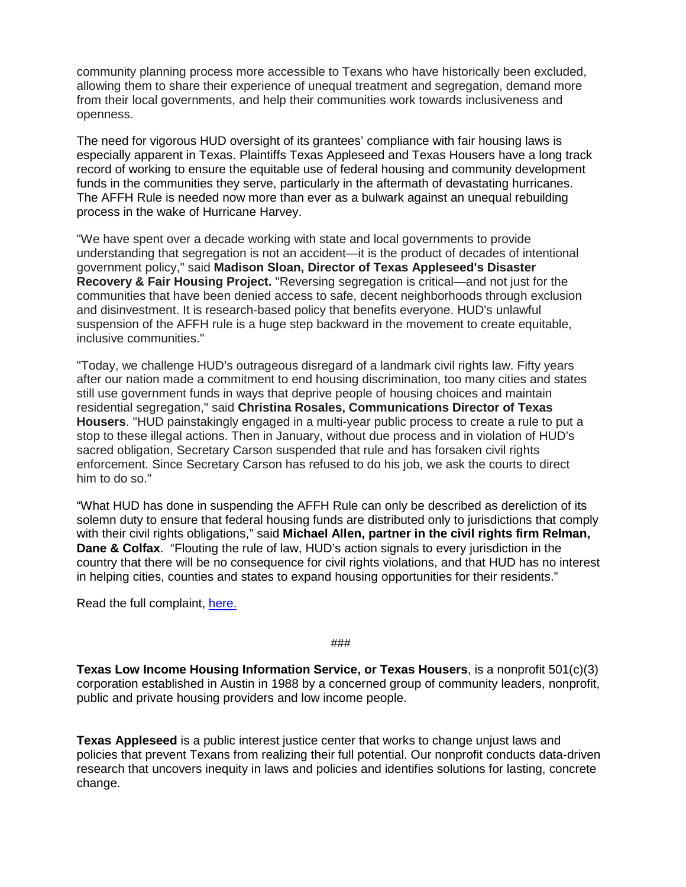community planning process more accessible to Texans who have historically been excluded, allowing them to share their experience of unequal treatment and segregation, demand more from their local governments, and help their communities work towards inclusiveness and openness.

The need for vigorous HUD oversight of its grantees' compliance with fair housing laws is especially apparent in Texas. Plaintiffs Texas Appleseed and Texas Housers have a long track record of working to ensure the equitable use of federal housing and community development funds in the communities they serve, particularly in the aftermath of devastating hurricanes. The AFFH Rule is needed now more than ever as a bulwark against an unequal rebuilding process in the wake of Hurricane Harvey.

"We have spent over a decade working with state and local governments to provide understanding that segregation is not an accident—it is the product of decades of intentional government policy," said **Madison Sloan, Director of Texas Appleseed's Disaster Recovery & Fair Housing Project.** "Reversing segregation is critical—and not just for the communities that have been denied access to safe, decent neighborhoods through exclusion and disinvestment. It is research-based policy that benefits everyone. HUD's unlawful suspension of the AFFH rule is a huge step backward in the movement to create equitable, inclusive communities."

"Today, we challenge HUD's outrageous disregard of a landmark civil rights law. Fifty years after our nation made a commitment to end housing discrimination, too many cities and states still use government funds in ways that deprive people of housing choices and maintain residential segregation," said **Christina Rosales, Communications Director of Texas Housers**. "HUD painstakingly engaged in a multi-year public process to create a rule to put a stop to these illegal actions. Then in January, without due process and in violation of HUD's sacred obligation, Secretary Carson suspended that rule and has forsaken civil rights enforcement. Since Secretary Carson has refused to do his job, we ask the courts to direct him to do so."

"What HUD has done in suspending the AFFH Rule can only be described as dereliction of its solemn duty to ensure that federal housing funds are distributed only to jurisdictions that comply with their civil rights obligations," said **Michael Allen, partner in the civil rights firm Relman, Dane & Colfax**. "Flouting the rule of law, HUD's action signals to every jurisdiction in the country that there will be no consequence for civil rights violations, and that HUD has no interest in helping cities, counties and states to expand housing opportunities for their residents."

Read the full complaint, [here.](http://nationalfairhousing.org/affh-hud-complaint/)

###

**Texas Low Income Housing Information Service, or Texas Housers**, is a nonprofit 501(c)(3) corporation established in Austin in 1988 by a concerned group of community leaders, nonprofit, public and private housing providers and low income people.

**Texas Appleseed** is a public interest justice center that works to change unjust laws and policies that prevent Texans from realizing their full potential. Our nonprofit conducts data-driven research that uncovers inequity in laws and policies and identifies solutions for lasting, concrete change.